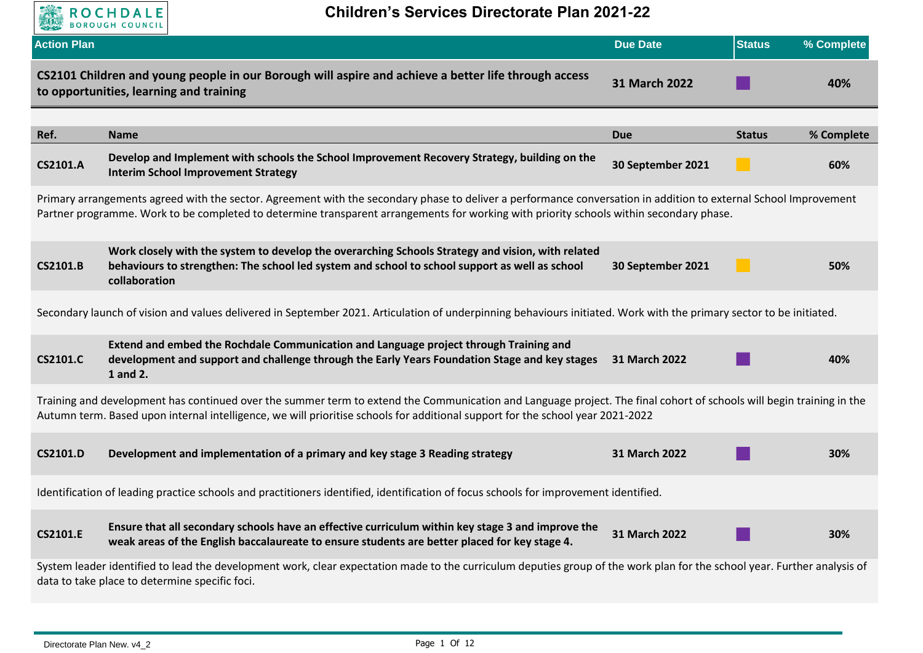

| <b>Action Plan</b>                                                                                                                                                                                                                                                                                          |                                                                                                                                                                                                                                                                                                        | <b>Due Date</b>   | <b>Status</b> | % Complete |
|-------------------------------------------------------------------------------------------------------------------------------------------------------------------------------------------------------------------------------------------------------------------------------------------------------------|--------------------------------------------------------------------------------------------------------------------------------------------------------------------------------------------------------------------------------------------------------------------------------------------------------|-------------------|---------------|------------|
|                                                                                                                                                                                                                                                                                                             | CS2101 Children and young people in our Borough will aspire and achieve a better life through access<br>to opportunities, learning and training                                                                                                                                                        | 31 March 2022     |               | 40%        |
|                                                                                                                                                                                                                                                                                                             |                                                                                                                                                                                                                                                                                                        |                   |               |            |
| Ref.                                                                                                                                                                                                                                                                                                        | <b>Name</b>                                                                                                                                                                                                                                                                                            | <b>Due</b>        | <b>Status</b> | % Complete |
| CS2101.A                                                                                                                                                                                                                                                                                                    | Develop and Implement with schools the School Improvement Recovery Strategy, building on the<br><b>Interim School Improvement Strategy</b>                                                                                                                                                             | 30 September 2021 |               | 60%        |
| Primary arrangements agreed with the sector. Agreement with the secondary phase to deliver a performance conversation in addition to external School Improvement<br>Partner programme. Work to be completed to determine transparent arrangements for working with priority schools within secondary phase. |                                                                                                                                                                                                                                                                                                        |                   |               |            |
| CS2101.B                                                                                                                                                                                                                                                                                                    | Work closely with the system to develop the overarching Schools Strategy and vision, with related<br>behaviours to strengthen: The school led system and school to school support as well as school<br>collaboration                                                                                   | 30 September 2021 |               | 50%        |
|                                                                                                                                                                                                                                                                                                             | Secondary launch of vision and values delivered in September 2021. Articulation of underpinning behaviours initiated. Work with the primary sector to be initiated.                                                                                                                                    |                   |               |            |
| <b>CS2101.C</b>                                                                                                                                                                                                                                                                                             | Extend and embed the Rochdale Communication and Language project through Training and<br>development and support and challenge through the Early Years Foundation Stage and key stages<br>1 and 2.                                                                                                     | 31 March 2022     |               | 40%        |
|                                                                                                                                                                                                                                                                                                             | Training and development has continued over the summer term to extend the Communication and Language project. The final cohort of schools will begin training in the<br>Autumn term. Based upon internal intelligence, we will prioritise schools for additional support for the school year 2021-2022 |                   |               |            |
| <b>CS2101.D</b>                                                                                                                                                                                                                                                                                             | Development and implementation of a primary and key stage 3 Reading strategy                                                                                                                                                                                                                           | 31 March 2022     |               | 30%        |
|                                                                                                                                                                                                                                                                                                             | Identification of leading practice schools and practitioners identified, identification of focus schools for improvement identified.                                                                                                                                                                   |                   |               |            |
| <b>CS2101.E</b>                                                                                                                                                                                                                                                                                             | Ensure that all secondary schools have an effective curriculum within key stage 3 and improve the<br>weak areas of the English baccalaureate to ensure students are better placed for key stage 4.                                                                                                     | 31 March 2022     |               | 30%        |
|                                                                                                                                                                                                                                                                                                             | System leader identified to lead the development work, clear expectation made to the curriculum deputies group of the work plan for the school year. Further analysis of<br>data to take place to determine specific foci.                                                                             |                   |               |            |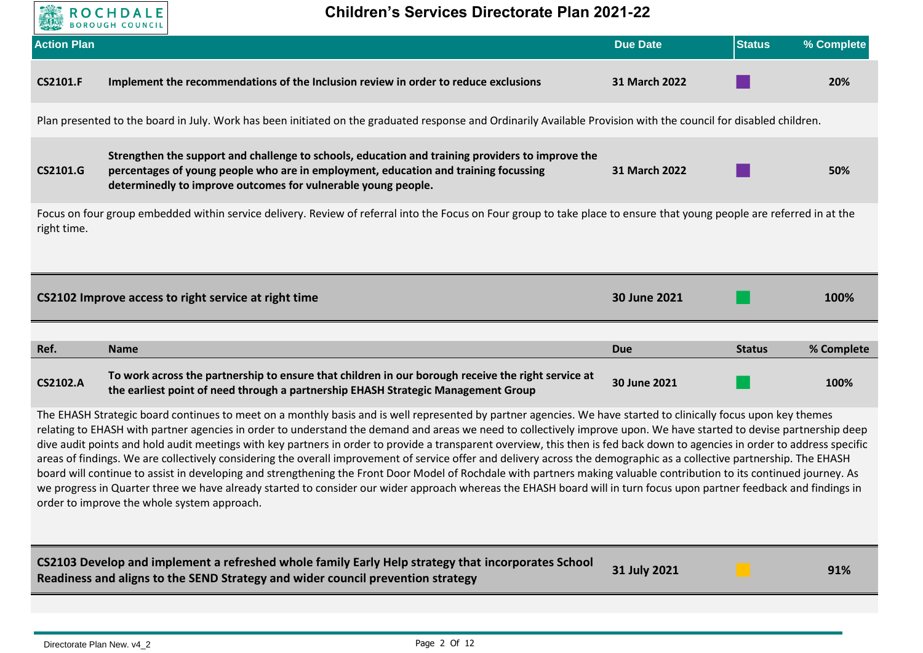

**Children's Services Directorate Plan 2021-22**

| <b>Action Plan</b>                                                                                                                                                                                                                                                                                                                                                                                                                                                                                                                                                                                                                                                                                                                                                                                                                                                                                                                                                                                                                                                                                | <b>DONOVOII COONCIL</b>                                                                                                                                                                                                                                  | <b>Due Date</b> | <b>Status</b> | % Complete |  |
|---------------------------------------------------------------------------------------------------------------------------------------------------------------------------------------------------------------------------------------------------------------------------------------------------------------------------------------------------------------------------------------------------------------------------------------------------------------------------------------------------------------------------------------------------------------------------------------------------------------------------------------------------------------------------------------------------------------------------------------------------------------------------------------------------------------------------------------------------------------------------------------------------------------------------------------------------------------------------------------------------------------------------------------------------------------------------------------------------|----------------------------------------------------------------------------------------------------------------------------------------------------------------------------------------------------------------------------------------------------------|-----------------|---------------|------------|--|
| <b>CS2101.F</b>                                                                                                                                                                                                                                                                                                                                                                                                                                                                                                                                                                                                                                                                                                                                                                                                                                                                                                                                                                                                                                                                                   | Implement the recommendations of the Inclusion review in order to reduce exclusions                                                                                                                                                                      | 31 March 2022   |               | 20%        |  |
|                                                                                                                                                                                                                                                                                                                                                                                                                                                                                                                                                                                                                                                                                                                                                                                                                                                                                                                                                                                                                                                                                                   | Plan presented to the board in July. Work has been initiated on the graduated response and Ordinarily Available Provision with the council for disabled children.                                                                                        |                 |               |            |  |
| CS2101.G                                                                                                                                                                                                                                                                                                                                                                                                                                                                                                                                                                                                                                                                                                                                                                                                                                                                                                                                                                                                                                                                                          | Strengthen the support and challenge to schools, education and training providers to improve the<br>percentages of young people who are in employment, education and training focussing<br>determinedly to improve outcomes for vulnerable young people. | 31 March 2022   |               | 50%        |  |
| right time.                                                                                                                                                                                                                                                                                                                                                                                                                                                                                                                                                                                                                                                                                                                                                                                                                                                                                                                                                                                                                                                                                       | Focus on four group embedded within service delivery. Review of referral into the Focus on Four group to take place to ensure that young people are referred in at the                                                                                   |                 |               |            |  |
|                                                                                                                                                                                                                                                                                                                                                                                                                                                                                                                                                                                                                                                                                                                                                                                                                                                                                                                                                                                                                                                                                                   | CS2102 Improve access to right service at right time                                                                                                                                                                                                     | 30 June 2021    |               | 100%       |  |
| Ref.                                                                                                                                                                                                                                                                                                                                                                                                                                                                                                                                                                                                                                                                                                                                                                                                                                                                                                                                                                                                                                                                                              | <b>Name</b>                                                                                                                                                                                                                                              | <b>Due</b>      | <b>Status</b> | % Complete |  |
| <b>CS2102.A</b>                                                                                                                                                                                                                                                                                                                                                                                                                                                                                                                                                                                                                                                                                                                                                                                                                                                                                                                                                                                                                                                                                   | To work across the partnership to ensure that children in our borough receive the right service at<br>the earliest point of need through a partnership EHASH Strategic Management Group                                                                  | 30 June 2021    |               | 100%       |  |
| The EHASH Strategic board continues to meet on a monthly basis and is well represented by partner agencies. We have started to clinically focus upon key themes<br>relating to EHASH with partner agencies in order to understand the demand and areas we need to collectively improve upon. We have started to devise partnership deep<br>dive audit points and hold audit meetings with key partners in order to provide a transparent overview, this then is fed back down to agencies in order to address specific<br>areas of findings. We are collectively considering the overall improvement of service offer and delivery across the demographic as a collective partnership. The EHASH<br>board will continue to assist in developing and strengthening the Front Door Model of Rochdale with partners making valuable contribution to its continued journey. As<br>we progress in Quarter three we have already started to consider our wider approach whereas the EHASH board will in turn focus upon partner feedback and findings in<br>order to improve the whole system approach. |                                                                                                                                                                                                                                                          |                 |               |            |  |

| $\sim$ CS2103 Develop and implement a refreshed whole family Early Help strategy that incorporates School $\sim$ | 31 July 2021 | 91% |
|------------------------------------------------------------------------------------------------------------------|--------------|-----|
| Readiness and aligns to the SEND Strategy and wider council prevention strategy                                  |              |     |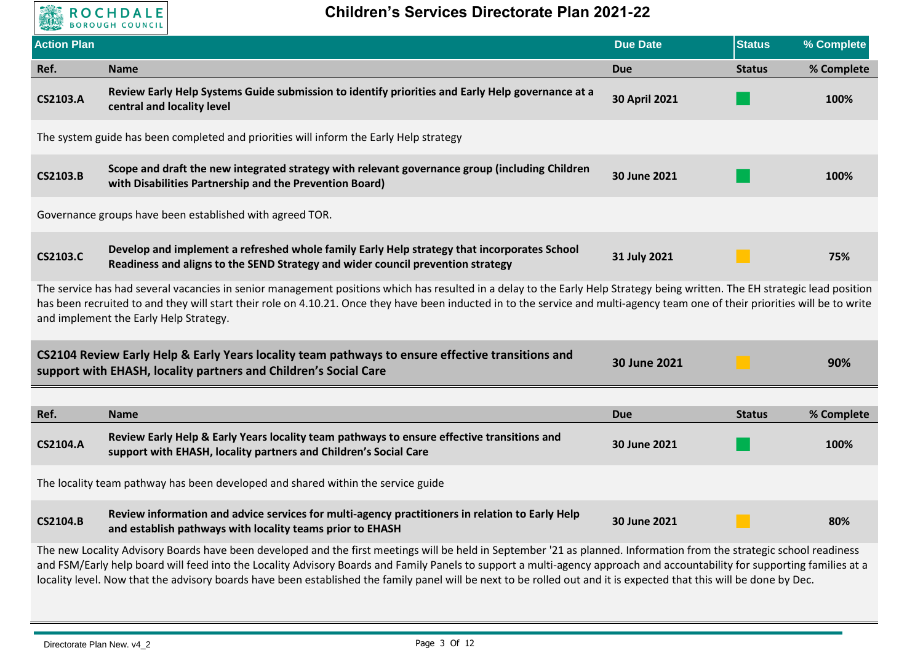

| <b>Action Plan</b> |                                                                                                                                                                                                                                                                                                                                                                                                         | <b>Due Date</b>      | <b>Status</b> | % Complete |  |
|--------------------|---------------------------------------------------------------------------------------------------------------------------------------------------------------------------------------------------------------------------------------------------------------------------------------------------------------------------------------------------------------------------------------------------------|----------------------|---------------|------------|--|
| Ref.               | <b>Name</b>                                                                                                                                                                                                                                                                                                                                                                                             | Due                  | <b>Status</b> | % Complete |  |
| <b>CS2103.A</b>    | Review Early Help Systems Guide submission to identify priorities and Early Help governance at a<br>central and locality level                                                                                                                                                                                                                                                                          | <b>30 April 2021</b> |               | 100%       |  |
|                    | The system guide has been completed and priorities will inform the Early Help strategy                                                                                                                                                                                                                                                                                                                  |                      |               |            |  |
| <b>CS2103.B</b>    | Scope and draft the new integrated strategy with relevant governance group (including Children<br>with Disabilities Partnership and the Prevention Board)                                                                                                                                                                                                                                               | 30 June 2021         |               | 100%       |  |
|                    | Governance groups have been established with agreed TOR.                                                                                                                                                                                                                                                                                                                                                |                      |               |            |  |
| <b>CS2103.C</b>    | Develop and implement a refreshed whole family Early Help strategy that incorporates School<br>Readiness and aligns to the SEND Strategy and wider council prevention strategy                                                                                                                                                                                                                          | 31 July 2021         |               | 75%        |  |
|                    | The service has had several vacancies in senior management positions which has resulted in a delay to the Early Help Strategy being written. The EH strategic lead position<br>has been recruited to and they will start their role on 4.10.21. Once they have been inducted in to the service and multi-agency team one of their priorities will be to write<br>and implement the Early Help Strategy. |                      |               |            |  |
|                    | CS2104 Review Early Help & Early Years locality team pathways to ensure effective transitions and<br>support with EHASH, locality partners and Children's Social Care                                                                                                                                                                                                                                   | 30 June 2021         |               | 90%        |  |
|                    |                                                                                                                                                                                                                                                                                                                                                                                                         |                      |               |            |  |
| Ref.               | <b>Name</b>                                                                                                                                                                                                                                                                                                                                                                                             | <b>Due</b>           | <b>Status</b> | % Complete |  |
| <b>CS2104.A</b>    | Review Early Help & Early Years locality team pathways to ensure effective transitions and<br>support with EHASH, locality partners and Children's Social Care                                                                                                                                                                                                                                          | 30 June 2021         |               | 100%       |  |
|                    | The locality team pathway has been developed and shared within the service guide                                                                                                                                                                                                                                                                                                                        |                      |               |            |  |
| <b>CS2104.B</b>    | Review information and advice services for multi-agency practitioners in relation to Early Help<br>and establish pathways with locality teams prior to EHASH                                                                                                                                                                                                                                            | 30 June 2021         |               | 80%        |  |
|                    | The new Locality Advisory Boards have been developed and the first meetings will be held in September '21 as planned. Information from the strategic school readiness                                                                                                                                                                                                                                   |                      |               |            |  |

and FSM/Early help board will feed into the Locality Advisory Boards and Family Panels to support a multi-agency approach and accountability for supporting families at a locality level. Now that the advisory boards have been established the family panel will be next to be rolled out and it is expected that this will be done by Dec.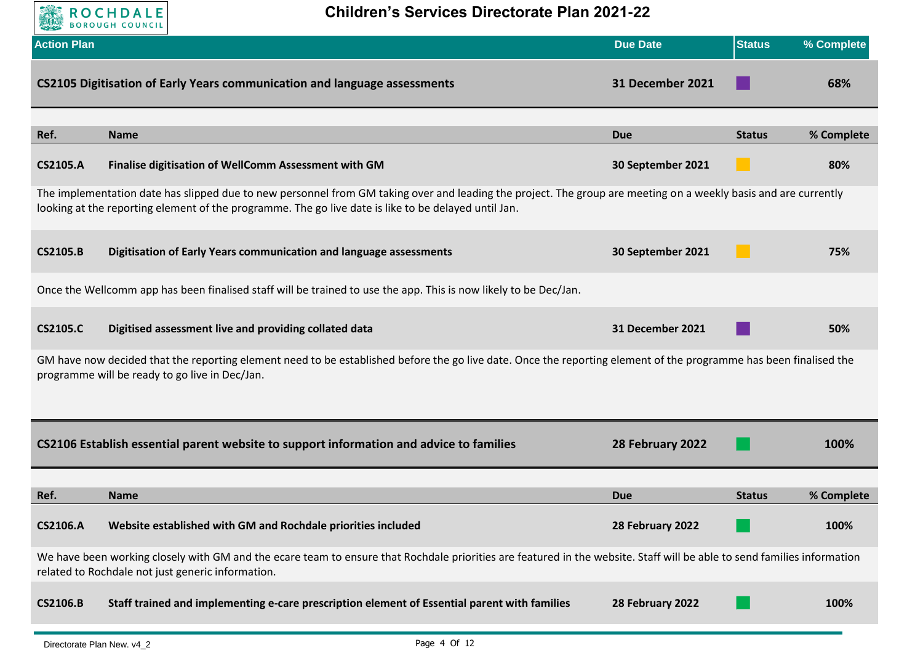

| <b>Action Plan</b> |                                                                                                                                                                                                                                                                         | <b>Due Date</b>         | <b>Status</b> | % Complete |
|--------------------|-------------------------------------------------------------------------------------------------------------------------------------------------------------------------------------------------------------------------------------------------------------------------|-------------------------|---------------|------------|
|                    | CS2105 Digitisation of Early Years communication and language assessments                                                                                                                                                                                               | <b>31 December 2021</b> |               | 68%        |
| Ref.               | <b>Name</b>                                                                                                                                                                                                                                                             | <b>Due</b>              | <b>Status</b> | % Complete |
| <b>CS2105.A</b>    | Finalise digitisation of WellComm Assessment with GM                                                                                                                                                                                                                    | 30 September 2021       |               | 80%        |
|                    | The implementation date has slipped due to new personnel from GM taking over and leading the project. The group are meeting on a weekly basis and are currently<br>looking at the reporting element of the programme. The go live date is like to be delayed until Jan. |                         |               |            |
| <b>CS2105.B</b>    | Digitisation of Early Years communication and language assessments                                                                                                                                                                                                      | 30 September 2021       |               | 75%        |
|                    | Once the Wellcomm app has been finalised staff will be trained to use the app. This is now likely to be Dec/Jan.                                                                                                                                                        |                         |               |            |
| <b>CS2105.C</b>    | Digitised assessment live and providing collated data                                                                                                                                                                                                                   | <b>31 December 2021</b> |               | 50%        |
|                    | GM have now decided that the reporting element need to be established before the go live date. Once the reporting element of the programme has been finalised the<br>programme will be ready to go live in Dec/Jan.                                                     |                         |               |            |
|                    | CS2106 Establish essential parent website to support information and advice to families                                                                                                                                                                                 | 28 February 2022        |               | 100%       |
| Ref.               | <b>Name</b>                                                                                                                                                                                                                                                             | <b>Due</b>              | <b>Status</b> | % Complete |
| <b>CS2106.A</b>    | Website established with GM and Rochdale priorities included                                                                                                                                                                                                            | 28 February 2022        |               | 100%       |
|                    | We have been working closely with GM and the ecare team to ensure that Rochdale priorities are featured in the website. Staff will be able to send families information<br>related to Rochdale not just generic information.                                            |                         |               |            |
| <b>CS2106.B</b>    | Staff trained and implementing e-care prescription element of Essential parent with families                                                                                                                                                                            | 28 February 2022        |               | 100%       |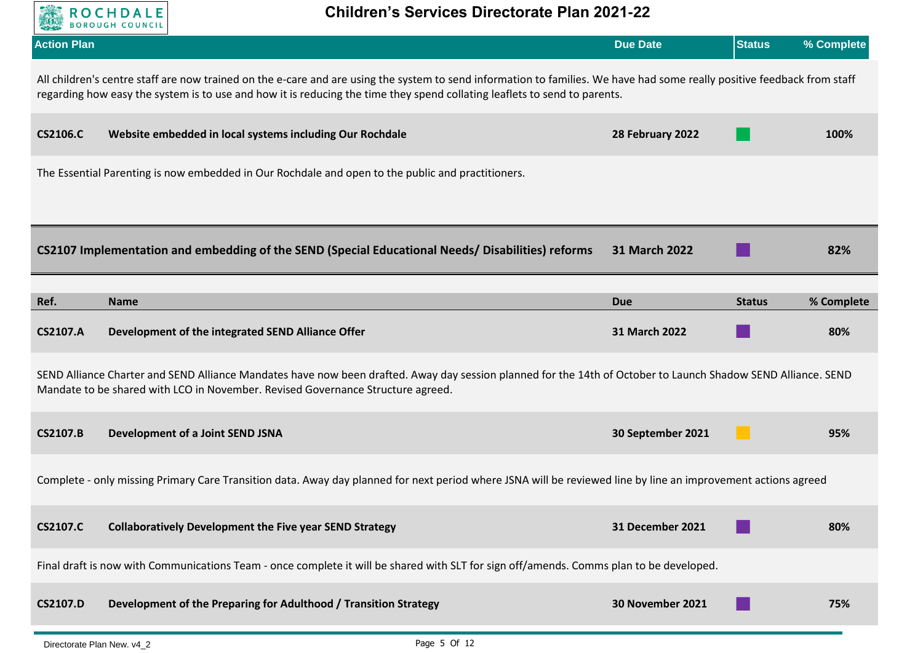

| <b>Action Plan</b> |                                                                                                                                                                                                                                                                                                       | <b>Due Date</b>         | <b>Status</b> | % Complete |  |  |
|--------------------|-------------------------------------------------------------------------------------------------------------------------------------------------------------------------------------------------------------------------------------------------------------------------------------------------------|-------------------------|---------------|------------|--|--|
|                    | All children's centre staff are now trained on the e-care and are using the system to send information to families. We have had some really positive feedback from staff<br>regarding how easy the system is to use and how it is reducing the time they spend collating leaflets to send to parents. |                         |               |            |  |  |
| <b>CS2106.C</b>    | Website embedded in local systems including Our Rochdale                                                                                                                                                                                                                                              | 28 February 2022        |               | 100%       |  |  |
|                    | The Essential Parenting is now embedded in Our Rochdale and open to the public and practitioners.                                                                                                                                                                                                     |                         |               |            |  |  |
|                    | CS2107 Implementation and embedding of the SEND (Special Educational Needs/Disabilities) reforms                                                                                                                                                                                                      | 31 March 2022           |               | 82%        |  |  |
| Ref.               | <b>Name</b>                                                                                                                                                                                                                                                                                           | <b>Due</b>              | <b>Status</b> | % Complete |  |  |
| <b>CS2107.A</b>    | Development of the integrated SEND Alliance Offer                                                                                                                                                                                                                                                     | 31 March 2022           |               | 80%        |  |  |
|                    | SEND Alliance Charter and SEND Alliance Mandates have now been drafted. Away day session planned for the 14th of October to Launch Shadow SEND Alliance. SEND<br>Mandate to be shared with LCO in November. Revised Governance Structure agreed.                                                      |                         |               |            |  |  |
| <b>CS2107.B</b>    | Development of a Joint SEND JSNA                                                                                                                                                                                                                                                                      | 30 September 2021       |               | 95%        |  |  |
|                    | Complete - only missing Primary Care Transition data. Away day planned for next period where JSNA will be reviewed line by line an improvement actions agreed                                                                                                                                         |                         |               |            |  |  |
| <b>CS2107.C</b>    | <b>Collaboratively Development the Five year SEND Strategy</b>                                                                                                                                                                                                                                        | <b>31 December 2021</b> |               | 80%        |  |  |
|                    | Final draft is now with Communications Team - once complete it will be shared with SLT for sign off/amends. Comms plan to be developed.                                                                                                                                                               |                         |               |            |  |  |
| <b>CS2107.D</b>    | Development of the Preparing for Adulthood / Transition Strategy                                                                                                                                                                                                                                      | 30 November 2021        |               | 75%        |  |  |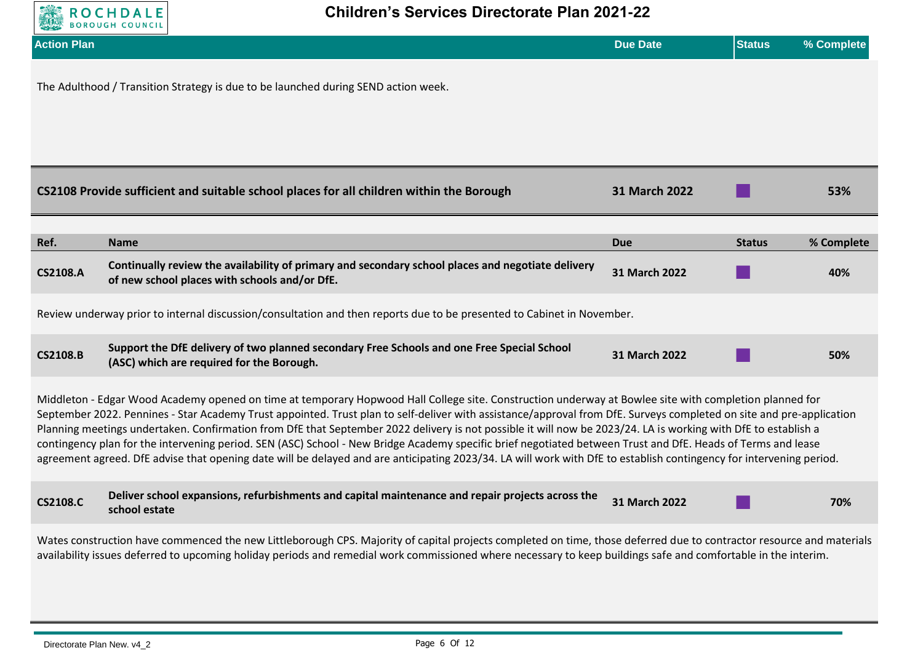

| <b>Action Plan</b>                                                                                                                                                                                                                                                                                                                                                                                                                                                                                                                                                                                                                                                                                                                                                                                                                      |                                                                                                                                                                                                                                                                                                                                        | <b>Due Date</b> | <b>Status</b> | % Complete |
|-----------------------------------------------------------------------------------------------------------------------------------------------------------------------------------------------------------------------------------------------------------------------------------------------------------------------------------------------------------------------------------------------------------------------------------------------------------------------------------------------------------------------------------------------------------------------------------------------------------------------------------------------------------------------------------------------------------------------------------------------------------------------------------------------------------------------------------------|----------------------------------------------------------------------------------------------------------------------------------------------------------------------------------------------------------------------------------------------------------------------------------------------------------------------------------------|-----------------|---------------|------------|
|                                                                                                                                                                                                                                                                                                                                                                                                                                                                                                                                                                                                                                                                                                                                                                                                                                         | The Adulthood / Transition Strategy is due to be launched during SEND action week.                                                                                                                                                                                                                                                     |                 |               |            |
|                                                                                                                                                                                                                                                                                                                                                                                                                                                                                                                                                                                                                                                                                                                                                                                                                                         | CS2108 Provide sufficient and suitable school places for all children within the Borough                                                                                                                                                                                                                                               | 31 March 2022   |               | 53%        |
| Ref.                                                                                                                                                                                                                                                                                                                                                                                                                                                                                                                                                                                                                                                                                                                                                                                                                                    | <b>Name</b>                                                                                                                                                                                                                                                                                                                            | <b>Due</b>      | <b>Status</b> | % Complete |
| <b>CS2108.A</b>                                                                                                                                                                                                                                                                                                                                                                                                                                                                                                                                                                                                                                                                                                                                                                                                                         | Continually review the availability of primary and secondary school places and negotiate delivery<br>of new school places with schools and/or DfE.                                                                                                                                                                                     | 31 March 2022   |               | 40%        |
|                                                                                                                                                                                                                                                                                                                                                                                                                                                                                                                                                                                                                                                                                                                                                                                                                                         | Review underway prior to internal discussion/consultation and then reports due to be presented to Cabinet in November.                                                                                                                                                                                                                 |                 |               |            |
| <b>CS2108.B</b>                                                                                                                                                                                                                                                                                                                                                                                                                                                                                                                                                                                                                                                                                                                                                                                                                         | Support the DfE delivery of two planned secondary Free Schools and one Free Special School<br>(ASC) which are required for the Borough.                                                                                                                                                                                                | 31 March 2022   |               | 50%        |
| Middleton - Edgar Wood Academy opened on time at temporary Hopwood Hall College site. Construction underway at Bowlee site with completion planned for<br>September 2022. Pennines - Star Academy Trust appointed. Trust plan to self-deliver with assistance/approval from DfE. Surveys completed on site and pre-application<br>Planning meetings undertaken. Confirmation from DfE that September 2022 delivery is not possible it will now be 2023/24. LA is working with DfE to establish a<br>contingency plan for the intervening period. SEN (ASC) School - New Bridge Academy specific brief negotiated between Trust and DfE. Heads of Terms and lease<br>agreement agreed. DfE advise that opening date will be delayed and are anticipating 2023/34. LA will work with DfE to establish contingency for intervening period. |                                                                                                                                                                                                                                                                                                                                        |                 |               |            |
| <b>CS2108.C</b>                                                                                                                                                                                                                                                                                                                                                                                                                                                                                                                                                                                                                                                                                                                                                                                                                         | Deliver school expansions, refurbishments and capital maintenance and repair projects across the<br>school estate                                                                                                                                                                                                                      | 31 March 2022   |               | 70%        |
|                                                                                                                                                                                                                                                                                                                                                                                                                                                                                                                                                                                                                                                                                                                                                                                                                                         | Wates construction have commenced the new Littleborough CPS. Majority of capital projects completed on time, those deferred due to contractor resource and materials<br>availability issues deferred to upcoming holiday periods and remedial work commissioned where necessary to keep buildings safe and comfortable in the interim. |                 |               |            |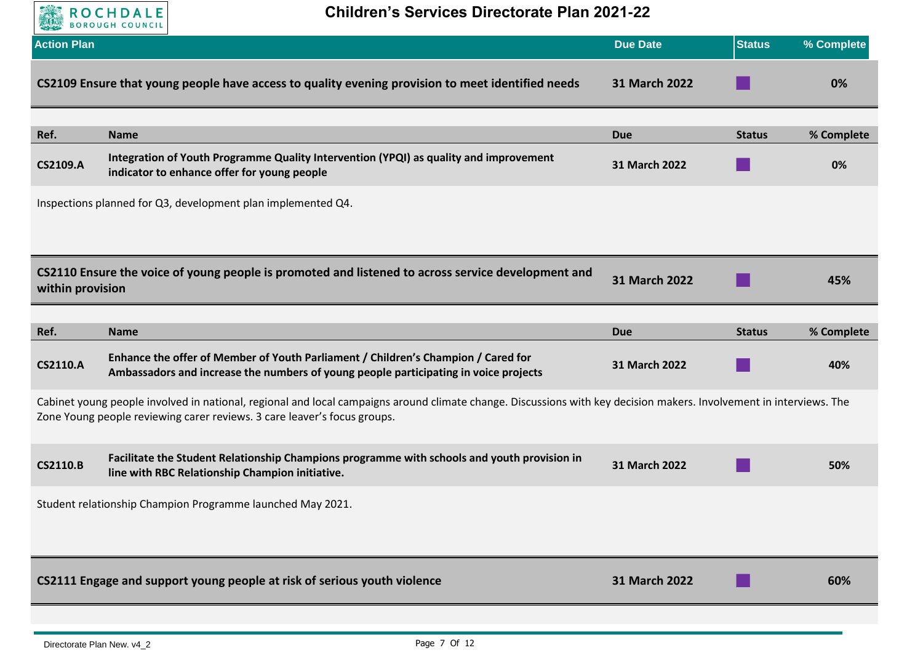

**Children's Services Directorate Plan 2021-22**

| <b>Action Plan</b> |                                                                                                                                                                                                                                                 | <b>Due Date</b> | <b>Status</b> | % Complete |
|--------------------|-------------------------------------------------------------------------------------------------------------------------------------------------------------------------------------------------------------------------------------------------|-----------------|---------------|------------|
|                    | CS2109 Ensure that young people have access to quality evening provision to meet identified needs                                                                                                                                               | 31 March 2022   |               | 0%         |
| Ref.               | <b>Name</b>                                                                                                                                                                                                                                     | <b>Due</b>      | <b>Status</b> | % Complete |
| <b>CS2109.A</b>    | Integration of Youth Programme Quality Intervention (YPQI) as quality and improvement<br>indicator to enhance offer for young people                                                                                                            | 31 March 2022   |               | 0%         |
|                    | Inspections planned for Q3, development plan implemented Q4.                                                                                                                                                                                    |                 |               |            |
|                    |                                                                                                                                                                                                                                                 |                 |               |            |
| within provision   | CS2110 Ensure the voice of young people is promoted and listened to across service development and                                                                                                                                              | 31 March 2022   |               | 45%        |
|                    |                                                                                                                                                                                                                                                 |                 |               |            |
| Ref.               | <b>Name</b>                                                                                                                                                                                                                                     | <b>Due</b>      | <b>Status</b> | % Complete |
| <b>CS2110.A</b>    | Enhance the offer of Member of Youth Parliament / Children's Champion / Cared for<br>Ambassadors and increase the numbers of young people participating in voice projects                                                                       | 31 March 2022   |               | 40%        |
|                    | Cabinet young people involved in national, regional and local campaigns around climate change. Discussions with key decision makers. Involvement in interviews. The<br>Zone Young people reviewing carer reviews. 3 care leaver's focus groups. |                 |               |            |
| <b>CS2110.B</b>    | Facilitate the Student Relationship Champions programme with schools and youth provision in<br>line with RBC Relationship Champion initiative.                                                                                                  | 31 March 2022   |               | 50%        |
|                    | Student relationship Champion Programme launched May 2021.                                                                                                                                                                                      |                 |               |            |
|                    |                                                                                                                                                                                                                                                 |                 |               |            |
|                    | CS2111 Engage and support young people at risk of serious youth violence                                                                                                                                                                        | 31 March 2022   |               | 60%        |
|                    |                                                                                                                                                                                                                                                 |                 |               |            |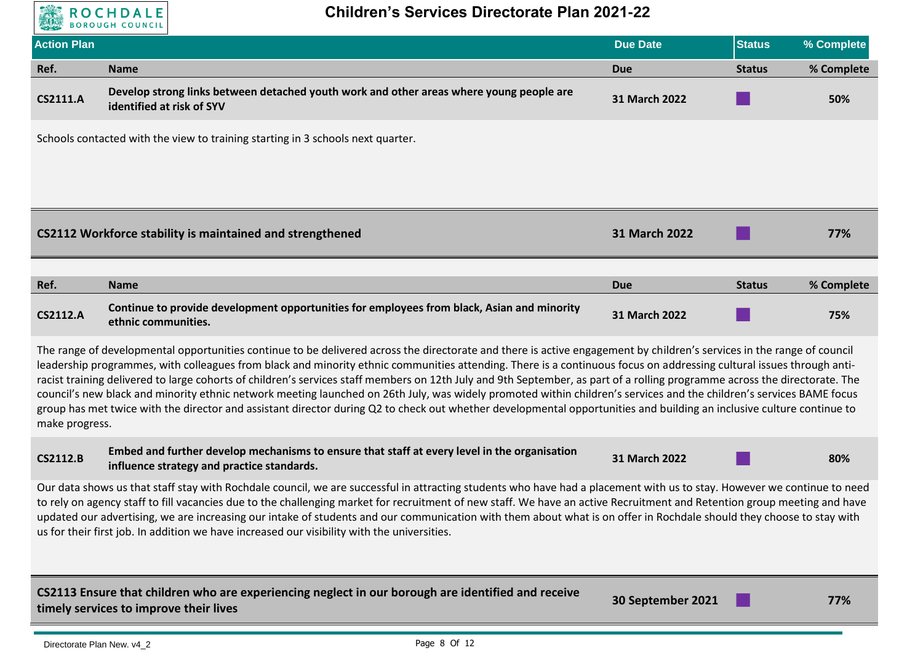

| <b>Action Plan</b>                                                                                                                                                                                                                                                                                                                                                                                                                                                                                                                                                                                                                                                                                                                                                                                                                                                                              |                                                                                                                                            | <b>Due Date</b> | <b>Status</b> | % Complete |  |
|-------------------------------------------------------------------------------------------------------------------------------------------------------------------------------------------------------------------------------------------------------------------------------------------------------------------------------------------------------------------------------------------------------------------------------------------------------------------------------------------------------------------------------------------------------------------------------------------------------------------------------------------------------------------------------------------------------------------------------------------------------------------------------------------------------------------------------------------------------------------------------------------------|--------------------------------------------------------------------------------------------------------------------------------------------|-----------------|---------------|------------|--|
| Ref.                                                                                                                                                                                                                                                                                                                                                                                                                                                                                                                                                                                                                                                                                                                                                                                                                                                                                            | <b>Name</b>                                                                                                                                | <b>Due</b>      | <b>Status</b> | % Complete |  |
| <b>CS2111.A</b>                                                                                                                                                                                                                                                                                                                                                                                                                                                                                                                                                                                                                                                                                                                                                                                                                                                                                 | Develop strong links between detached youth work and other areas where young people are<br>identified at risk of SYV                       | 31 March 2022   |               | 50%        |  |
|                                                                                                                                                                                                                                                                                                                                                                                                                                                                                                                                                                                                                                                                                                                                                                                                                                                                                                 | Schools contacted with the view to training starting in 3 schools next quarter.                                                            |                 |               |            |  |
|                                                                                                                                                                                                                                                                                                                                                                                                                                                                                                                                                                                                                                                                                                                                                                                                                                                                                                 | CS2112 Workforce stability is maintained and strengthened                                                                                  | 31 March 2022   |               | 77%        |  |
| Ref.                                                                                                                                                                                                                                                                                                                                                                                                                                                                                                                                                                                                                                                                                                                                                                                                                                                                                            | <b>Name</b>                                                                                                                                | <b>Due</b>      | <b>Status</b> | % Complete |  |
| <b>CS2112.A</b>                                                                                                                                                                                                                                                                                                                                                                                                                                                                                                                                                                                                                                                                                                                                                                                                                                                                                 | Continue to provide development opportunities for employees from black, Asian and minority<br>ethnic communities.                          | 31 March 2022   |               | 75%        |  |
| The range of developmental opportunities continue to be delivered across the directorate and there is active engagement by children's services in the range of council<br>leadership programmes, with colleagues from black and minority ethnic communities attending. There is a continuous focus on addressing cultural issues through anti-<br>racist training delivered to large cohorts of children's services staff members on 12th July and 9th September, as part of a rolling programme across the directorate. The<br>council's new black and minority ethnic network meeting launched on 26th July, was widely promoted within children's services and the children's services BAME focus<br>group has met twice with the director and assistant director during Q2 to check out whether developmental opportunities and building an inclusive culture continue to<br>make progress. |                                                                                                                                            |                 |               |            |  |
| <b>CS2112.B</b>                                                                                                                                                                                                                                                                                                                                                                                                                                                                                                                                                                                                                                                                                                                                                                                                                                                                                 | Embed and further develop mechanisms to ensure that staff at every level in the organisation<br>influence strategy and practice standards. | 31 March 2022   |               | 80%        |  |
| Our data shows us that staff stay with Rochdale council, we are successful in attracting students who have had a placement with us to stay. However we continue to need<br>to rely on agency staff to fill vacancies due to the challenging market for recruitment of new staff. We have an active Recruitment and Retention group meeting and have<br>updated our advertising, we are increasing our intake of students and our communication with them about what is on offer in Rochdale should they choose to stay with<br>us for their first job. In addition we have increased our visibility with the universities.                                                                                                                                                                                                                                                                      |                                                                                                                                            |                 |               |            |  |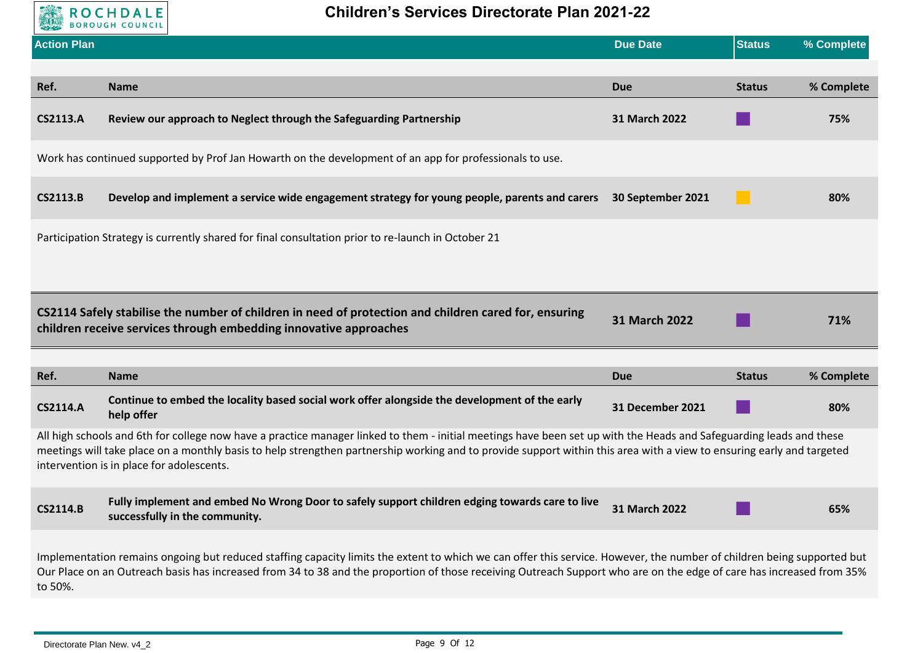

| <b>Action Plan</b>                                                                                                                                                                                                                                                                                                                                        |                                                                                                                                                                                                                                                                                                                                                                                           | <b>Due Date</b>      | <b>Status</b> | % Complete |  |
|-----------------------------------------------------------------------------------------------------------------------------------------------------------------------------------------------------------------------------------------------------------------------------------------------------------------------------------------------------------|-------------------------------------------------------------------------------------------------------------------------------------------------------------------------------------------------------------------------------------------------------------------------------------------------------------------------------------------------------------------------------------------|----------------------|---------------|------------|--|
|                                                                                                                                                                                                                                                                                                                                                           |                                                                                                                                                                                                                                                                                                                                                                                           |                      |               |            |  |
| Ref.                                                                                                                                                                                                                                                                                                                                                      | <b>Name</b>                                                                                                                                                                                                                                                                                                                                                                               | <b>Due</b>           | <b>Status</b> | % Complete |  |
| <b>CS2113.A</b>                                                                                                                                                                                                                                                                                                                                           | Review our approach to Neglect through the Safeguarding Partnership                                                                                                                                                                                                                                                                                                                       | 31 March 2022        |               | 75%        |  |
|                                                                                                                                                                                                                                                                                                                                                           | Work has continued supported by Prof Jan Howarth on the development of an app for professionals to use.                                                                                                                                                                                                                                                                                   |                      |               |            |  |
| <b>CS2113.B</b>                                                                                                                                                                                                                                                                                                                                           | Develop and implement a service wide engagement strategy for young people, parents and carers 30 September 2021                                                                                                                                                                                                                                                                           |                      |               | 80%        |  |
|                                                                                                                                                                                                                                                                                                                                                           | Participation Strategy is currently shared for final consultation prior to re-launch in October 21                                                                                                                                                                                                                                                                                        |                      |               |            |  |
|                                                                                                                                                                                                                                                                                                                                                           |                                                                                                                                                                                                                                                                                                                                                                                           |                      |               |            |  |
|                                                                                                                                                                                                                                                                                                                                                           | CS2114 Safely stabilise the number of children in need of protection and children cared for, ensuring<br>children receive services through embedding innovative approaches                                                                                                                                                                                                                | <b>31 March 2022</b> |               | 71%        |  |
|                                                                                                                                                                                                                                                                                                                                                           |                                                                                                                                                                                                                                                                                                                                                                                           |                      |               |            |  |
| Ref.                                                                                                                                                                                                                                                                                                                                                      | <b>Name</b>                                                                                                                                                                                                                                                                                                                                                                               | <b>Due</b>           | <b>Status</b> | % Complete |  |
| <b>CS2114.A</b>                                                                                                                                                                                                                                                                                                                                           | Continue to embed the locality based social work offer alongside the development of the early<br>help offer                                                                                                                                                                                                                                                                               | 31 December 2021     |               | 80%        |  |
|                                                                                                                                                                                                                                                                                                                                                           | All high schools and 6th for college now have a practice manager linked to them - initial meetings have been set up with the Heads and Safeguarding leads and these<br>meetings will take place on a monthly basis to help strengthen partnership working and to provide support within this area with a view to ensuring early and targeted<br>intervention is in place for adolescents. |                      |               |            |  |
| <b>CS2114.B</b>                                                                                                                                                                                                                                                                                                                                           | Fully implement and embed No Wrong Door to safely support children edging towards care to live<br>successfully in the community.                                                                                                                                                                                                                                                          | 31 March 2022        |               | 65%        |  |
| Implementation remains ongoing but reduced staffing capacity limits the extent to which we can offer this service. However, the number of children being supported but<br>Our Place on an Outreach basis has increased from 34 to 38 and the proportion of those receiving Outreach Support who are on the edge of care has increased from 35%<br>to 50%. |                                                                                                                                                                                                                                                                                                                                                                                           |                      |               |            |  |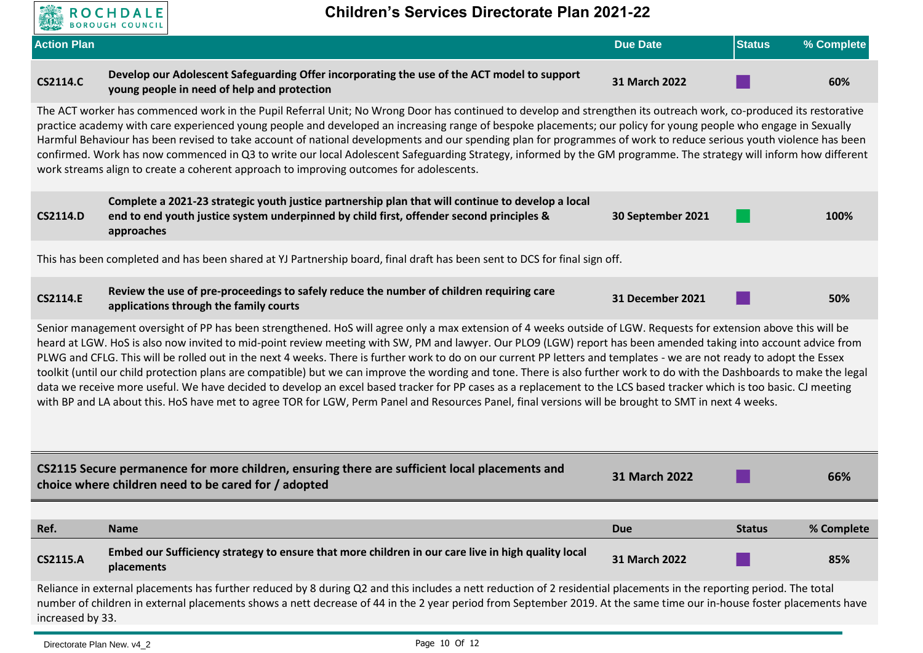

|                    | <b>BOULDOON COONCIL</b>                                                                                                                                                                                                                                                                                                                                                                                                                                                                                                                                                                                                                                                                                                                                                                                                                                                                                                                                                                                                     |                   |               |            |  |
|--------------------|-----------------------------------------------------------------------------------------------------------------------------------------------------------------------------------------------------------------------------------------------------------------------------------------------------------------------------------------------------------------------------------------------------------------------------------------------------------------------------------------------------------------------------------------------------------------------------------------------------------------------------------------------------------------------------------------------------------------------------------------------------------------------------------------------------------------------------------------------------------------------------------------------------------------------------------------------------------------------------------------------------------------------------|-------------------|---------------|------------|--|
| <b>Action Plan</b> |                                                                                                                                                                                                                                                                                                                                                                                                                                                                                                                                                                                                                                                                                                                                                                                                                                                                                                                                                                                                                             | <b>Due Date</b>   | <b>Status</b> | % Complete |  |
| <b>CS2114.C</b>    | Develop our Adolescent Safeguarding Offer incorporating the use of the ACT model to support<br>young people in need of help and protection                                                                                                                                                                                                                                                                                                                                                                                                                                                                                                                                                                                                                                                                                                                                                                                                                                                                                  | 31 March 2022     |               | 60%        |  |
|                    | The ACT worker has commenced work in the Pupil Referral Unit; No Wrong Door has continued to develop and strengthen its outreach work, co-produced its restorative<br>practice academy with care experienced young people and developed an increasing range of bespoke placements; our policy for young people who engage in Sexually<br>Harmful Behaviour has been revised to take account of national developments and our spending plan for programmes of work to reduce serious youth violence has been<br>confirmed. Work has now commenced in Q3 to write our local Adolescent Safeguarding Strategy, informed by the GM programme. The strategy will inform how different<br>work streams align to create a coherent approach to improving outcomes for adolescents.                                                                                                                                                                                                                                                 |                   |               |            |  |
| <b>CS2114.D</b>    | Complete a 2021-23 strategic youth justice partnership plan that will continue to develop a local<br>end to end youth justice system underpinned by child first, offender second principles &<br>approaches                                                                                                                                                                                                                                                                                                                                                                                                                                                                                                                                                                                                                                                                                                                                                                                                                 | 30 September 2021 |               | 100%       |  |
|                    | This has been completed and has been shared at YJ Partnership board, final draft has been sent to DCS for final sign off.                                                                                                                                                                                                                                                                                                                                                                                                                                                                                                                                                                                                                                                                                                                                                                                                                                                                                                   |                   |               |            |  |
| <b>CS2114.E</b>    | Review the use of pre-proceedings to safely reduce the number of children requiring care<br>applications through the family courts                                                                                                                                                                                                                                                                                                                                                                                                                                                                                                                                                                                                                                                                                                                                                                                                                                                                                          | 31 December 2021  |               | 50%        |  |
|                    | Senior management oversight of PP has been strengthened. HoS will agree only a max extension of 4 weeks outside of LGW. Requests for extension above this will be<br>heard at LGW. HoS is also now invited to mid-point review meeting with SW, PM and lawyer. Our PLO9 (LGW) report has been amended taking into account advice from<br>PLWG and CFLG. This will be rolled out in the next 4 weeks. There is further work to do on our current PP letters and templates - we are not ready to adopt the Essex<br>toolkit (until our child protection plans are compatible) but we can improve the wording and tone. There is also further work to do with the Dashboards to make the legal<br>data we receive more useful. We have decided to develop an excel based tracker for PP cases as a replacement to the LCS based tracker which is too basic. CJ meeting<br>with BP and LA about this. HoS have met to agree TOR for LGW, Perm Panel and Resources Panel, final versions will be brought to SMT in next 4 weeks. |                   |               |            |  |
|                    | CS2115 Secure permanence for more children, ensuring there are sufficient local placements and<br>choice where children need to be cared for / adopted                                                                                                                                                                                                                                                                                                                                                                                                                                                                                                                                                                                                                                                                                                                                                                                                                                                                      | 31 March 2022     |               | 66%        |  |
| Ref.               | <b>Name</b>                                                                                                                                                                                                                                                                                                                                                                                                                                                                                                                                                                                                                                                                                                                                                                                                                                                                                                                                                                                                                 | <b>Due</b>        | <b>Status</b> | % Complete |  |
| <b>CS2115.A</b>    | Embed our Sufficiency strategy to ensure that more children in our care live in high quality local<br>placements                                                                                                                                                                                                                                                                                                                                                                                                                                                                                                                                                                                                                                                                                                                                                                                                                                                                                                            | 31 March 2022     |               | 85%        |  |
|                    | Reliance in external placements has further reduced by 8 during Q2 and this includes a nett reduction of 2 residential placements in the reporting period. The total<br>number of children in external placements shows a nett decrease of 44 in the 2 year period from September 2019. At the same time our in-house foster placements have<br>increased by 33.                                                                                                                                                                                                                                                                                                                                                                                                                                                                                                                                                                                                                                                            |                   |               |            |  |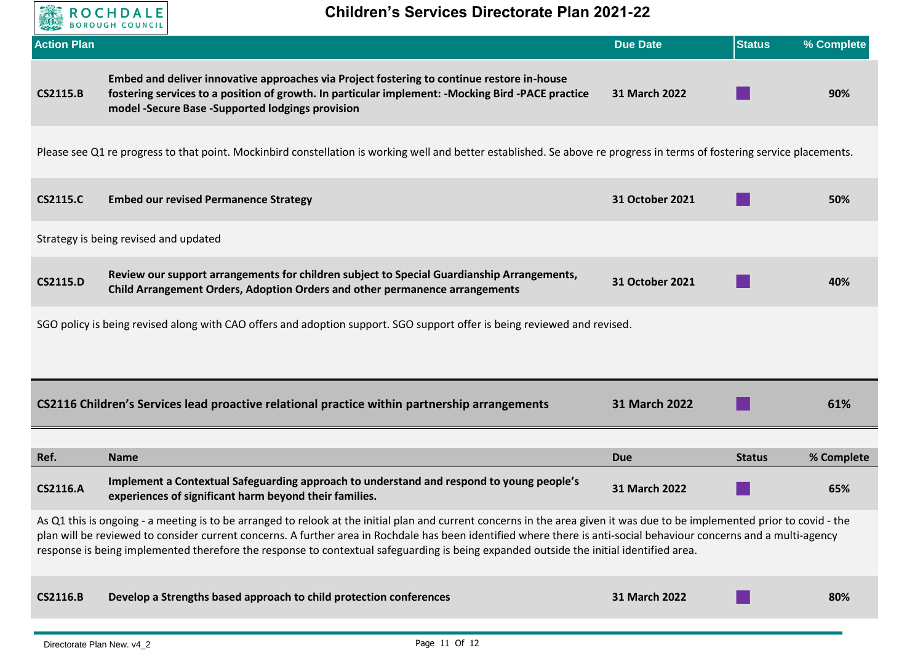

| <b>Action Plan</b>                                                                                                                                                                                                                                                                                                                                                                                                                                                                          |                                                                                                                                                                                                                                                       | <b>Due Date</b> | <b>Status</b> | % Complete |  |
|---------------------------------------------------------------------------------------------------------------------------------------------------------------------------------------------------------------------------------------------------------------------------------------------------------------------------------------------------------------------------------------------------------------------------------------------------------------------------------------------|-------------------------------------------------------------------------------------------------------------------------------------------------------------------------------------------------------------------------------------------------------|-----------------|---------------|------------|--|
| <b>CS2115.B</b>                                                                                                                                                                                                                                                                                                                                                                                                                                                                             | Embed and deliver innovative approaches via Project fostering to continue restore in-house<br>fostering services to a position of growth. In particular implement: - Mocking Bird - PACE practice<br>model -Secure Base -Supported lodgings provision | 31 March 2022   |               | 90%        |  |
|                                                                                                                                                                                                                                                                                                                                                                                                                                                                                             | Please see Q1 re progress to that point. Mockinbird constellation is working well and better established. Se above re progress in terms of fostering service placements.                                                                              |                 |               |            |  |
| <b>CS2115.C</b>                                                                                                                                                                                                                                                                                                                                                                                                                                                                             | <b>Embed our revised Permanence Strategy</b>                                                                                                                                                                                                          | 31 October 2021 |               | 50%        |  |
|                                                                                                                                                                                                                                                                                                                                                                                                                                                                                             | Strategy is being revised and updated                                                                                                                                                                                                                 |                 |               |            |  |
| <b>CS2115.D</b>                                                                                                                                                                                                                                                                                                                                                                                                                                                                             | Review our support arrangements for children subject to Special Guardianship Arrangements,<br><b>Child Arrangement Orders, Adoption Orders and other permanence arrangements</b>                                                                      | 31 October 2021 |               | 40%        |  |
|                                                                                                                                                                                                                                                                                                                                                                                                                                                                                             | SGO policy is being revised along with CAO offers and adoption support. SGO support offer is being reviewed and revised.                                                                                                                              |                 |               |            |  |
|                                                                                                                                                                                                                                                                                                                                                                                                                                                                                             |                                                                                                                                                                                                                                                       |                 |               |            |  |
|                                                                                                                                                                                                                                                                                                                                                                                                                                                                                             | CS2116 Children's Services lead proactive relational practice within partnership arrangements                                                                                                                                                         | 31 March 2022   |               | 61%        |  |
| Ref.                                                                                                                                                                                                                                                                                                                                                                                                                                                                                        | <b>Name</b>                                                                                                                                                                                                                                           | <b>Due</b>      | <b>Status</b> | % Complete |  |
| <b>CS2116.A</b>                                                                                                                                                                                                                                                                                                                                                                                                                                                                             | Implement a Contextual Safeguarding approach to understand and respond to young people's<br>experiences of significant harm beyond their families.                                                                                                    | 31 March 2022   |               | 65%        |  |
| As Q1 this is ongoing - a meeting is to be arranged to relook at the initial plan and current concerns in the area given it was due to be implemented prior to covid - the<br>plan will be reviewed to consider current concerns. A further area in Rochdale has been identified where there is anti-social behaviour concerns and a multi-agency<br>response is being implemented therefore the response to contextual safeguarding is being expanded outside the initial identified area. |                                                                                                                                                                                                                                                       |                 |               |            |  |
| <b>CS2116.B</b>                                                                                                                                                                                                                                                                                                                                                                                                                                                                             | Develop a Strengths based approach to child protection conferences                                                                                                                                                                                    | 31 March 2022   |               | 80%        |  |